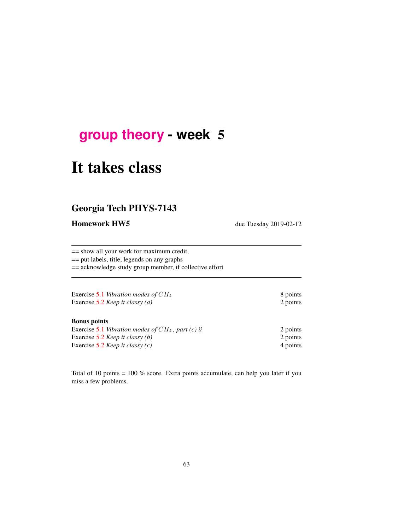## **[group theory](http://birdtracks.eu/courses/PHYS-7143-19/schedule.html) - week** 5

# It takes class

### Georgia Tech PHYS-7143

Homework HW5 due Tuesday 2019-02-12

== show all your work for maximum credit, == put labels, title, legends on any graphs

== acknowledge study group member, if collective effort

| Exercise 5.1 Vibration modes of $CH_4$ | 8 points |
|----------------------------------------|----------|
| Exercise 5.2 Keep it classy (a)        | 2 points |

#### Bonus points

| Exercise 5.1 Vibration modes of $CH_4$ , part (c) ii | 2 points |
|------------------------------------------------------|----------|
| Exercise 5.2 <i>Keep it classy (b)</i>               | 2 points |
| Exercise 5.2 <i>Keep it classy (c)</i>               | 4 points |

Total of 10 points = 100 % score. Extra points accumulate, can help you later if you miss a few problems.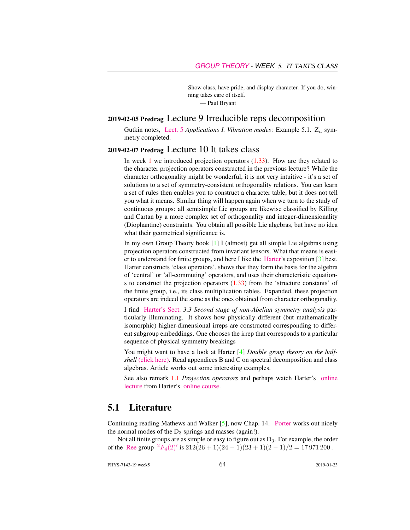Show class, have pride, and display character. If you do, winning takes care of itself.

— Paul Bryant

#### 2019-02-05 Predrag Lecture 9 Irreducible reps decomposition

Gutkin notes, [Lect. 5](http://birdtracks.eu/courses/PHYS-7143-19/groups.pdf) *Applications I. Vibration modes*: Example 5.1.  $Z_n$  symmetry completed.

#### 2019-02-07 Predrag Lecture 10 It takes class

In week  $1$  we introduced projection operators  $(1.33)$ . How are they related to the character projection operators constructed in the previous lecture? While the character orthogonality might be wonderful, it is not very intuitive - it's a set of solutions to a set of symmetry-consistent orthogonality relations. You can learn a set of rules then enables you to construct a character table, but it does not tell you what it means. Similar thing will happen again when we turn to the study of continuous groups: all semisimple Lie groups are likewise classified by Killing and Cartan by a more complex set of orthogonality and integer-dimensionality (Diophantine) constraints. You obtain all possible Lie algebras, but have no idea what their geometrical significance is.

In my own Group Theory book [1] I (almost) get all simple Lie algebras using projection operators constructed from invariant tensors. What that means is easier to understand for finite groups, and here I like the [Harter'](http://www.uark.edu/ua/modphys/markup/PSDS_Info.html)s exposition [3] best. Harter constructs 'class operators', shows that they form the basis for the algebra of 'central' or 'all-commuting' operators, and uses their characteristic equations to construct the projection operators  $(1.33)$  from the 'structure constants' of the finite group, i.e., its class multiplication tables. Expanded, these projection operators are indeed the same as the ones obtained from character orthogonality.

I find [Harter's Sect.](http://www.uark.edu/ua/modphys/markup/PSDS_UnitsForceDL.php?fname=PSDS_Ch.3_(4.22.10).pdf) *3.3 Second stage of non-Abelian symmetry analysis* particularly illuminating. It shows how physically different (but mathematically isomorphic) higher-dimensional irreps are constructed corresponding to different subgroup embeddings. One chooses the irrep that corresponds to a particular sequence of physical symmetry breakings

You might want to have a look at Harter [4] *Double group theory on the halfshell* [\(click here\).](http://ChaosBook.org/library/Harter78.pdf) Read appendices B and C on spectral decomposition and class algebras. Article works out some interesting examples.

See also remark 1.1 *Projection operators* and perhaps watch Harter's [online](https://www.youtube.com/watch?v=jLO7-Pks0QM) [lecture](https://www.youtube.com/watch?v=jLO7-Pks0QM) from Harter's [online course.](http://www.uark.edu/ua/modphys/markup/GTQM_TitlePage_2015.html)

#### 5.1 Literature

Continuing reading Mathews and Walker [5], now Chap. 14. [Porter](http://chaosbook.org/~predrag/courses/PHYS-7143-08/Porter3-10.pdf) works out nicely the normal modes of the  $D_3$  springs and masses (again!).

Not all finite groups are as simple or easy to figure out as  $D_3$ . For example, the order of the [Ree](https://en.wikipedia.org/wiki/List_of_finite_simple_groups) group  ${}^{2}F_{4}(2)'$  ${}^{2}F_{4}(2)'$  ${}^{2}F_{4}(2)'$  is  $212(26 + 1)(24 - 1)(23 + 1)(2 - 1)/2 = 17971200$ .

PHYS-7143-19 week5 64 2019-01-23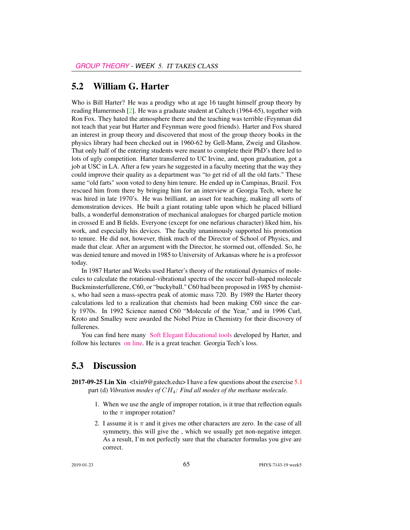#### 5.2 William G. Harter

Who is Bill Harter? He was a prodigy who at age 16 taught himself group theory by reading Hamermesh [2]. He was a graduate student at Caltech (1964-65), together with Ron Fox. They hated the atmosphere there and the teaching was terrible (Feynman did not teach that year but Harter and Feynman were good friends). Harter and Fox shared an interest in group theory and discovered that most of the group theory books in the physics library had been checked out in 1960-62 by Gell-Mann, Zweig and Glashow. That only half of the entering students were meant to complete their PhD's there led to lots of ugly competition. Harter transferred to UC Irvine, and, upon graduation, got a job at USC in LA. After a few years he suggested in a faculty meeting that the way they could improve their quality as a department was "to get rid of all the old farts." These same "old farts" soon voted to deny him tenure. He ended up in Campinas, Brazil. Fox rescued him from there by bringing him for an interview at Georgia Tech, where he was hired in late 1970's. He was brilliant, an asset for teaching, making all sorts of demonstration devices. He built a giant rotating table upon which he placed billiard balls, a wonderful demonstration of mechanical analogues for charged particle motion in crossed E and B fields. Everyone (except for one nefarious character) liked him, his work, and especially his devices. The faculty unanimously supported his promotion to tenure. He did not, however, think much of the Director of School of Physics, and made that clear. After an argument with the Director, he stormed out, offended. So, he was denied tenure and moved in 1985 to University of Arkansas where he is a professor today.

In 1987 Harter and Weeks used Harter's theory of the rotational dynamics of molecules to calculate the rotational-vibrational spectra of the soccer ball-shaped molecule Buckminsterfullerene, C60, or "buckyball." C60 had been proposed in 1985 by chemists, who had seen a mass-spectra peak of atomic mass 720. By 1989 the Harter theory calculations led to a realization that chemists had been making C60 since the early 1970s. In 1992 Science named C60 "Molecule of the Year," and in 1996 Curl, Kroto and Smalley were awarded the Nobel Prize in Chemistry for their discovery of fullerenes.

You can find here many [Soft Elegant Educational tools](http://www.uark.edu/ua/modphys/markup/Harter-SoftWebApps.html) developed by Harter, and follow his lectures [on line.](https://www.youtube.com/channel/UC2KBYYdZOfotnkUOTthDjRA) He is a great teacher. Georgia Tech's loss.

#### 5.3 Discussion

- **2017-09-25 Lin Xin** <lxin9@gatech.edu> I have a few questions about the exercise  $\overline{5.1}$ part (d) *Vibration modes of* CH4*: Find all modes of the methane molecule.*
	- 1. When we use the angle of improper rotation, is it true that reflection equals to the  $\pi$  improper rotation?
	- 2. I assume it is  $\pi$  and it gives me other characters are zero. In the case of all symmetry, this will give the , which we usually get non-negative integer. As a result, I'm not perfectly sure that the character formulas you give are correct.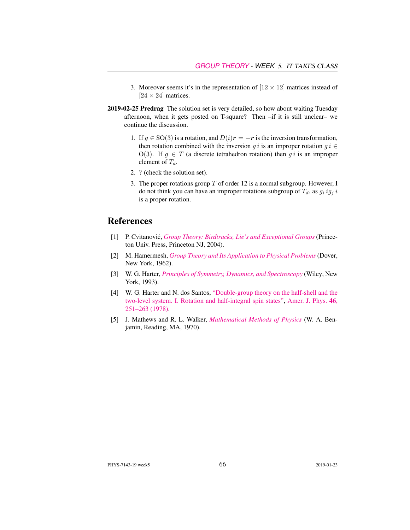- 3. Moreover seems it's in the representation of  $[12 \times 12]$  matrices instead of  $[24 \times 24]$  matrices.
- 2019-02-25 Predrag The solution set is very detailed, so how about waiting Tuesday afternoon, when it gets posted on T-square? Then –if it is still unclear– we continue the discussion.
	- 1. If  $g \in SO(3)$  is a rotation, and  $D(i)r = -r$  is the inversion transformation, then rotation combined with the inversion g i is an improper rotation  $g i \in$ O(3). If  $g \in T$  (a discrete tetrahedron rotation) then g i is an improper element of  $T_d$ .
	- 2. ? (check the solution set).
	- 3. The proper rotations group  $T$  of order 12 is a normal subgroup. However, I do not think you can have an improper rotations subgroup of  $T_d$ , as  $g_i ig_i$  i is a proper rotation.

#### References

- [1] P. Cvitanovic,´ *[Group Theory: Birdtracks, Lie's and Exceptional Groups](https://press.princeton.edu/titles/8839.html)* (Princeton Univ. Press, Princeton NJ, 2004).
- [2] M. Hamermesh, *[Group Theory and Its Application to Physical Problems](http://dx.doi.org/10.1119/1.1941790)* (Dover, New York, 1962).
- [3] W. G. Harter, *[Principles of Symmetry, Dynamics, and Spectroscopy](http://www.uark.edu/ua/modphys/markup/PSDS_Info.html)* (Wiley, New York, 1993).
- [4] W. G. Harter and N. dos Santos, ["Double-group theory on the half-shell and the](http://dx.doi.org/10.1119/1.11134) [two-level system. I. Rotation and half-integral spin states",](http://dx.doi.org/10.1119/1.11134) [Amer. J. Phys.](http://dx.doi.org/10.1119/1.11134) 46, [251–263 \(1978\).](http://dx.doi.org/10.1119/1.11134)
- [5] J. Mathews and R. L. Walker, *[Mathematical Methods of Physics](http://dx.doi.org/10.2307/2316002)* (W. A. Benjamin, Reading, MA, 1970).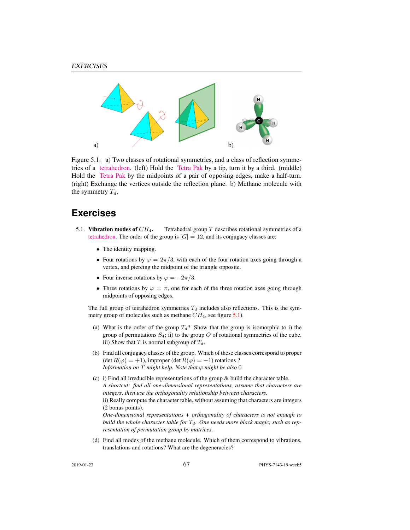

Figure 5.1: a) Two classes of rotational symmetries, and a class of reflection symmetries of a [tetrahedron.](https://flic.kr/p/a5oFBF) (left) Hold the [Tetra Pak](https://www.youtube.com/watch?v=ztOLwig7v5Q) by a tip, turn it by a third. (middle) Hold the [Tetra Pak](https://flic.kr/p/aUdHDx) by the midpoints of a pair of opposing edges, make a half-turn. (right) Exchange the vertices outside the reflection plane. b) Methane molecule with the symmetry  $T_d$ .

### **Exercises**

- 5.1. Vibration modes of  $CH_4$ . Tetrahedral group T describes rotational symmetries of a [tetrahedron.](https://www.youtube.com/watch?v=OsNXsckES7w) The order of the group is  $|G| = 12$ , and its conjugacy classes are:
	- The identity mapping.
	- Four rotations by  $\varphi = 2\pi/3$ , with each of the four rotation axes going through a vertex, and piercing the midpoint of the triangle opposite.
	- Four inverse rotations by  $\varphi = -2\pi/3$ .
	- Three rotations by  $\varphi = \pi$ , one for each of the three rotation axes going through midpoints of opposing edges.

The full group of tetrahedron symmetries  $T_d$  includes also reflections. This is the symmetry group of molecules such as methane  $CH_4$ , see figure 5.1).

- (a) What is the order of the group  $T_d$ ? Show that the group is isomorphic to i) the group of permutations  $S_4$ ; ii) to the group O of rotational symmetries of the cube. iii) Show that T is normal subgroup of  $T_d$ .
- (b) Find all conjugacy classes of the group. Which of these classes correspond to proper (det  $R(\varphi) = +1$ ), improper (det  $R(\varphi) = -1$ ) rotations ? *Information on*  $T$  *might help. Note that*  $\varphi$  *might be also* 0*.*
- (c) i) Find all irreducible representations of the group & build the character table. *A shortcut: find all one-dimensional representations, assume that characters are integers, then use the orthogonality relationship between characters.* ii) Really compute the character table, without assuming that characters are integers (2 bonus points). *One-dimensional representations + orthogonality of characters is not enough to*

*build the whole character table for*  $T<sub>d</sub>$ *. One needs more black magic, such as representation of permutation group by matrices.*

(d) Find all modes of the methane molecule. Which of them correspond to vibrations, translations and rotations? What are the degeneracies?